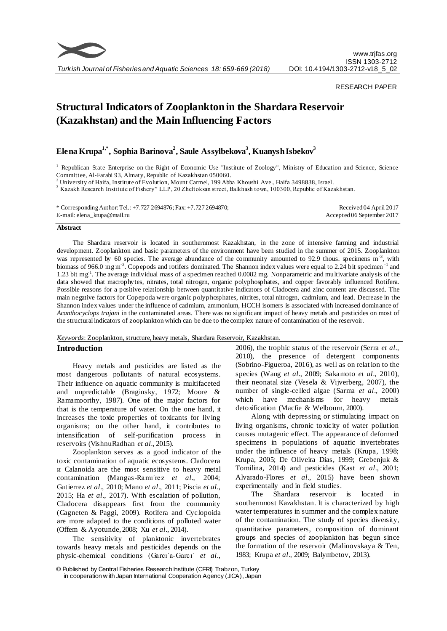

*Turkish Journal of Fisheries and Aquatic Sciences 18: 659-669 (2018)*

#### RESEARCH PAPER

# **Structural Indicators of Zooplankton in the Shardara Reservoir (Kazakhstan) and the Main Influencing Factors**

**Elena Krupa1,\* , Sophia Barinova<sup>2</sup> , Saule Assylbekova<sup>3</sup> , KuanyshIsbekov<sup>3</sup>**

<sup>1</sup> Republican State Enterprise on the Right of Economic Use "Institute of Zoology", Ministry of Education and Science, Science Committee, Al-Farabi 93, Almaty, Republic of Kazakhstan 050060.

 $^2$ University of Haifa, Institute of Evolution, Mount Carmel, 199 Abba Khoushi Ave., Haifa 3498838, Israel.

<sup>3</sup> Kazakh Research Institute of Fishery" LLP, 20 Zheltoksan street, Balkhash town, 100300, Republic of Kazakhstan.

\* Corresponding Author: Tel.: +7.727 2694876; Fax: +7.727 2694870; E-mail: elena\_krupa@mail.ru Received 04 April 2017 Accepted 06 September 2017

## **Abstract**

The Shardara reservoir is located in southernmost Kazakhstan, in the zone of intensive farming and industrial development. Zooplankton and basic parameters of the environment have been studied in the summer of 2015. Zooplankton was represented by 60 species. The average abundance of the community amounted to 92.9 thous. specimens  $m<sup>-3</sup>$ , with biomass of 966.0 mg m<sup>-3</sup>. Copepods and rotifers dominated. The Shannon index values were equal to 2.24 bit specimen<sup>-1</sup> and 1.23 bit mg<sup>-1</sup>. The average individual mass of a specimen reached 0.0082 mg. Nonparametric and multivariate analysis of the data showed that macrophytes, nitrates, total nitrogen, organic polyphosphates, and copper favorably influenced Rotifera. Possible reasons for a positive relationship between quantitative indicators of Cladocera and zinc content are discussed. The main negative factors for Copepoda were organic polyphosphates, nitrites, total nitrogen, cadmium, and lead. Decrease in the Shannon index values under the influence of cadmium, ammonium, HCCH isomers is associated with increased dominance of *Acanthocyclops trajani* in the contaminated areas. There was no significant impact of heavy metals and pesticides on most of the structural indicators of zooplankton which can be due to the complex nature of contamination of the reservoir.

#### *Keywords*: Zooplankton, structure, heavy metals, Shardara Reservoir, Kazakhstan.

## **Introduction**

Heavy metals and pesticides are listed as the most dangerous pollutants of natural ecosystems. Their influence on aquatic community is multifaceted and unpredictable (Braginsky, 1972; Moore & Ramamoorthy, 1987). One of the major factors for that is the temperature of water. On the one hand, it increases the toxic properties of toxicants for living organisms; on the other hand, it contributes to intensification of self-purification process reservoirs (VishnuRadhan *et al*., 2015).

Zooplankton serves as a good indicator of the toxic contamination of aquatic ecosystems. Cladocera и Calanoida are the most sensitive to heavy metal contamination (Mangas-Ramı´rez *et al*., 2004; Gutierrez *et al*., 2010; Mano *et al*., 2011; Piscia *et al*., 2015; Ha *et al*., 2017). With escalation of pollution, Cladocera disappears first from the community (Gagneten & Paggi, 2009). Rotifera and Cyclopoida are more adapted to the conditions of polluted water (Offem & Ayotunde, 2008; Xu *et al*., 2014).

The sensitivity of planktonic invertebrates towards heavy metals and pesticides depends on the physic-chemical conditions (Garcı´a-Garcı´ *et al*.,

2006), the trophic status of the reservoir (Serra *et al.*, 2010), the presence of detergent components (Sobrino-Figueroa, 2016), as well as on relat ion to the species (Wang *et al*., 2009; Sakamoto *et al*., 2010), their neonatal size (Vesela & Vijverberg, 2007), the number of single-celled algae (Sarma *et al*., 2000) which have mechanisms for heavy metals detoxification (Macfie & Welbourn, 2000).

Along with depressing or stimulating impact on living organisms, chronic toxicity of water pollution causes mutagenic effect. The appearance of deformed specimens in populations of aquatic invertebrates under the influence of heavy metals (Krupa, 1998; Krupa, 2005; De Oliveira Dias, 1999; Grebenjuk & Tomilina, 2014) and pesticides (Kast *et al*., 2001; Alvarado-Flores *et al*., 2015) have been shown experimentally and in field studies.

The Shardara reservoir is located in southernmost Kazakhstan. It is characterized by high water temperatures in summer and the complex nature of the contamination. The study of species diversity, quantitative parameters, composition of dominant groups and species of zooplankton has begun since the formation of the reservoir (Malinovskaya & Ten, 1983; Krupa *et al*., 2009; Balymbetov, 2013).

<sup>©</sup> Published by Central Fisheries Research Institute (CFRI) Trabzon, Turkey in cooperation w ith Japan International Cooperation Agency (JICA), Japan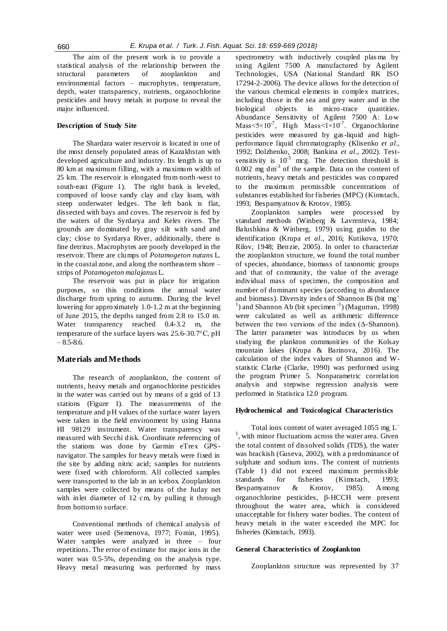The aim of the present work is to provide a statistical analysis of the relationship between the structural parameters of zooplankton and environmental factors – macrophytes, temperature, depth, water transparency, nutrients, organochlorine pesticides and heavy metals in purpose to reveal the major influenced.

#### **Description of Study Site**

The Shardara water reservoir is located in one of the most densely populated areas of Kazakhstan with developed agriculture and industry. Its length is up to 80 km at maximum filling, with a maximum width of 25 km. The reservoir is elongated from north-west to south-east (Figure 1). The right bank is leveled, composed of loose sandy clay and clay loam, with steep underwater ledges. The left bank is flat, dissected with bays and coves. The reservoir is fed by the waters of the Syrdarya and Keles rivers. The grounds are dominated by gray silt with sand and clay; close to Syrdarya River, additionally, there is fine detritus. Macrophytes are poorly developed in the reservoir. There are clumps of *Potamogeton natans* L. in the coastal zone, and along the northeastern shore – strips of *Potamogeton malajanus* L.

The reservoir was put in place for irrigation purposes, so this conditions the annual water discharge from spring to autumn. During the level lowering for approximately 1.0-1.2 m at the beginning of June 2015, the depths ranged from 2.8 to 15.0 m. Water transparency reached 0.4-3.2 m, the temperature of the surface layers was  $25.6-30.7$ °C, pH  $-8.5 - 8.6$ .

#### **Materials and Methods**

The research of zooplankton, the content of nutrients, heavy metals and organochlorine pesticides in the water was carried out by means of a grid of 13 stations (Figure 1). The measurements of the temperature and pH values of the surface water layers were taken in the field environment by using Hanna HI 98129 instrument. Water transparency was measured with Secchi disk. Coordinate referencing of the stations was done by Garmin eTrex GPSnavigator. The samples for heavy metals were fixed in the site by adding nitric acid; samples for nutrients were fixed with chloroform. All collected samples were transported to the lab in an icebox. Zooplankton samples were collected by means of the Juday net with inlet diameter of 12 cm, by pulling it through from bottom to surface.

Conventional methods of chemical analysis of water were used (Semenova, 1977; Fomin, 1995). Water samples were analyzed in three – four repetitions. The error of estimate for major ions in the water was 0.5-5%, depending on the analysis type. Heavy metal measuring was performed by mass spectrometry with inductively coupled plas ma by using Agilent 7500 A manufactured by Agilent Technologies, USA (National Standard RK ISO 17294-2-2006). The device allows for the detection of the various chemical elements in complex matrices, including those in the sea and grey water and in the biological objects in micro -trace quantities. Abundance Sensitivity of Agilent 7500 A: Low Mass $\leq 5 \times 10^{-7}$ , High Mass $\leq 1 \times 10^{-7}$ . Organochlorine pesticides were measured by gas-liquid and highperformance liquid chromatography (Klisenko *et al*., 1992; Dolzhenko, 2008; Bankina *et al*., 2002). Testsensitivity is  $10^{-5}$  mcg. The detection threshold is  $0.002$  mg dm<sup>-3</sup> of the sample. Data on the content of nutrients, heavy metals and pesticides was compared to the maximum permissible concentrations of substances established for fisheries (MPC) (Kimstach, 1993; Bespamyatnov & Krotov, 1985).

Zooplankton samples were processed by standard methods (Winberg & Lavrenteva, 1984; Balushkina & Winberg, 1979) using guides to the identification (Krupa *et al*., 2016; Kutikova, 1970; Rilov, 1948; Benzie, 2005). In order to characterize the zooplankton structure, we found the total number of species, abundance, biomass of taxonomic groups and that of community, the value of the average individual mass of specimen, the composition and number of dominant species (according to abundance and biomass). Diversity index of Shannon Bi (bit mg- $<sup>1</sup>$ ) and Shannon Ab (bit specimen $<sup>-1</sup>$ ) (Magurran, 1998)</sup></sup> were calculated as well as arithmetic difference between the two versions of the index  $(Δ{\text -}Shannon)$ . The latter parameter was introduces by us when studying the plankton communities of the Kolsay mountain lakes (Krupa & Barinova, 2016). The calculation of the index values of Shannon and Wstatistic Clarke (Clarke, 1990) was performed using the program Primer 5. Nonparametric correlation analysis and stepwise regression analysis were performed in Statistica 12.0 program.

#### **Hydrochemical and Toxicological Characteristics**

Total ions content of water averaged 1055 mg L-<sup>1</sup>, with minor fluctuations across the water area. Given the total content of dissolved solids (TDS), the water was brackish (Guseva, 2002), with a predominance of sulphate and sodium ions. The content of nutrients (Table 1) did not exceed maximum permissible standards for fisheries (Kimstach, 1993; Bespamyatnov & Krotov, 1985). Among organochlorine pesticides,  $\beta$ -HCCH were present throughout the water area, which is considered unacceptable for fishery water bodies. The content of heavy metals in the water exceeded the MPC for fisheries (Kimstach, 1993).

#### **General Characteristics of Zooplankton**

Zooplankton structure was represented by 37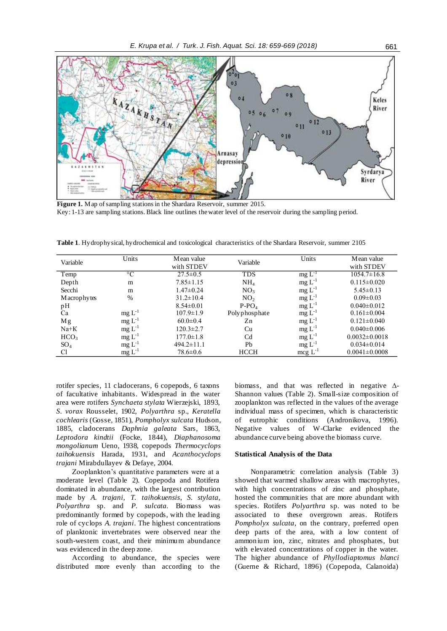

**Figure 1.** Map of sampling stations in the Shardara Reservoir, summer 2015. Key: 1-13 are sampling stations. Black line outlines the water level of the reservoir during the sampling period.

| Variable            | Units          | Mean value       | Variable        | Units                 | Mean value          |
|---------------------|----------------|------------------|-----------------|-----------------------|---------------------|
|                     |                | with STDEV       |                 |                       | with STDEV          |
| Temp                | $\overline{C}$ | $27.5 \pm 0.5$   | <b>TDS</b>      | $mg L^{-1}$           | $1054.7 \pm 16.8$   |
| Depth               | m              | $7.85 \pm 1.15$  | NH <sub>4</sub> | $mg L^{-1}$           | $0.115 \pm 0.020$   |
| Secchi              | m              | $1.47 \pm 0.24$  | NO <sub>3</sub> | $mg L^{-1}$           | $5.45 \pm 0.13$     |
| <b>M</b> acrophytes | %              | $31.2 \pm 10.4$  | NO <sub>2</sub> | $mg L-1$              | $0.09 \pm 0.03$     |
| pH                  |                | $8.54 \pm 0.01$  | $P-PO4$         | $mg L-1$              | $0.040 \pm 0.012$   |
| Ca                  | $mg L^{-1}$    | $107.9 \pm 1.9$  | Polyphosphate   | $mg L^{-1}$           | $0.161 \pm 0.004$   |
| Mg                  | $mg L-1$       | $60.0 \pm 0.4$   | Zn              | $mg L^{-1}$           | $0.121 \pm 0.040$   |
| $Na+K$              | $mg L^{-1}$    | $120.3 \pm 2.7$  | Cu              | $mg L-1$              | $0.040 \pm 0.006$   |
| HCO <sub>3</sub>    | $mg L^{-1}$    | $177.0 \pm 1.8$  | C <sub>d</sub>  | $mg L-1$              | $0.0032 \pm 0.0018$ |
| $SO_4$              | $mg L^{-1}$    | $494.2 \pm 11.1$ | Pb              | $mg L^{-1}$           | $0.034 \pm 0.014$   |
| C <sub>1</sub>      | $mg L-1$       | $78.6 \pm 0.6$   | <b>HCCH</b>     | $\text{mcg}$ $L^{-1}$ | $0.0041 \pm 0.0008$ |

**Table 1**. Hydrophysical, hydrochemical and toxicological characteristics of the Shardara Reservoir, summer 2105

rotifer species, 11 cladocerans, 6 copepods, 6 taxons of facultative inhabitants. Widespread in the water area were rotifers *Synchaeta stylata* Wierzejski, 1893*, S. vorax* Rousselet, 1902, *Polyarthra* sp., *Keratella cochlearis* (Gosse, 1851), *Pompholyx sulcata* Hudson, 1885, cladocerans *Daphnia galeata* Sars, 1863, *Leptodora kindtii* (Focke, 1844), *Diaphanosoma mongolianum* Ueno, 1938, copepods *Thermocyclops taihokuensis* Harada, 1931, and *Acanthocyclops trajani* Mirabdullayev & Defaye, 2004.

Zooplankton's quantitative parameters were at a moderate level (Table 2). Copepoda and Rotifera dominated in abundance, with the largest contribution made by *A. trajani, T. taihokuensis*, *S. stylata, Polyarthra* sp. and *P. sulcata.* Biomass was predominantly formed by copepods, with the leading role of cyclops *A. trajani*. The highest concentrations of planktonic invertebrates were observed near the south-western coast, and their minimum abundance was evidenced in the deep zone.

According to abundance, the species were distributed more evenly than according to the biomass, and that was reflected in negative ∆- Shannon values (Table 2). Small-size composition of zooplankton was reflected in the values of the average individual mass of specimen, which is characteristic of eutrophic conditions (Andronikova, 1996). Negative values of W-Clarke evidenced the abundance curve being above the biomass curve.

## **Statistical Analysis of the Data**

Nonparametric correlation analysis (Table 3) showed that warmed shallow areas with macrophytes, with high concentrations of zinc and phosphate, hosted the communities that are more abundant with species. Rotifers *Polyarthra* sp. was noted to be associated to these overgrown areas. Rotifers *Pompholyx sulcata,* on the contrary, preferred open deep parts of the area, with a low content of ammonium ion, zinc, nitrates and phosphates, but with elevated concentrations of copper in the water. The higher abundance of *Phyllodiaptomus blanci*  (Guerne & Richard, 1896) (Copepoda, Calanoida)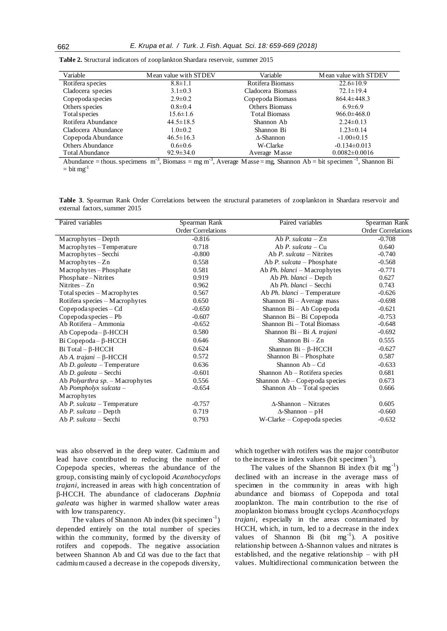| Variable                | Mean value with STDEV | Variable             | Mean value with STDEV |
|-------------------------|-----------------------|----------------------|-----------------------|
| Rotifera species        | $8.8 \pm 1.1$         | Rotifera Biomass     | $22.6 \pm 10.9$       |
| Cladocera species       | $3.1 \pm 0.3$         | Cladocera Biomass    | $72.1 \pm 19.4$       |
| Copepoda species        | $2.9 \pm 0.2$         | Copepoda Biomass     | $864.4 \pm 448.3$     |
| Others species          | $0.8 \pm 0.4$         | Others Biomass       | $6.9 \pm 6.9$         |
| Total species           | $15.6 \pm 1.6$        | <b>Total Biomass</b> | $966.0 \pm 468.0$     |
| Rotifera Abundance      | $44.5 \pm 18.5$       | Shannon Ab           | $2.24 \pm 0.13$       |
| Cladocera Abundance     | $1.0 \pm 0.2$         | Shannon Bi           | $1.23 \pm 0.14$       |
| Copepoda Abundance      | $46.5 \pm 16.3$       | $\Delta$ -Shannon    | $-1.00 \pm 0.15$      |
| <b>Others Abundance</b> | $0.6 \pm 0.6$         | W-Clarke             | $-0.134 \pm 0.013$    |
| Total Abundance         | $92.9 \pm 34.0$       | Average Masse        | $0.0082 \pm 0.0016$   |

**Table 2.** Structural indicators of zooplankton Shardara reservoir, summer 2015

Abundance = thous. specimens  $m<sup>3</sup>$ , Biomass = mg  $m<sup>3</sup>$ , Average Masse = mg, Shannon Ab = bit specimen  $<sup>-1</sup>$ , Shannon Bi</sup>  $=$  bit mg<sup>-1</sup>

**Table 3**. Spearman Rank Order Correlations between the structural parameters of zooplankton in Shardara reservoir and external factors, summer 2015

| Paired variables                   | Spearman Rank             | Paired variables                 | Spearman Rank             |
|------------------------------------|---------------------------|----------------------------------|---------------------------|
|                                    | <b>Order Correlations</b> |                                  | <b>Order Correlations</b> |
| Macrophytes-Depth                  | $-0.816$                  | Ab P. sulcata $-Zn$              | $-0.708$                  |
| $M$ acrophytes $-T$ emperature     | 0.718                     | Ab P. sulcata – $Cu$             | 0.640                     |
| Macrophytes-Secchi                 | $-0.800$                  | Ab P. sulcata $-$ Nitrites       | $-0.740$                  |
| $M$ acrophytes $-Zn$               | 0.558                     | Ab P. sulcata $-$ Phosphate      | $-0.568$                  |
| Macrophytes – Phosphate            | 0.581                     | Ab Ph. blanci - Macrophytes      | $-0.771$                  |
| Phosphate-Nitrites                 | 0.919                     | Ab Ph. blanci – Depth            | 0.627                     |
| Nitrites $- Zn$                    | 0.962                     | Ab Ph. blanci – Secchi           | 0.743                     |
| $Total species - Macrophytes$      | 0.567                     | Ab Ph. blanci – Temperature      | $-0.626$                  |
| Rotifera species $-$ M acrophytes  | 0.650                     | Shannon $Bi - Average$ mass      | $-0.698$                  |
| Copepoda species - Cd              | $-0.650$                  | Shannon Bi - Ab Copepoda         | $-0.621$                  |
| $Copepoda species - Pb$            | $-0.607$                  | Shannon Bi - Bi Copepoda         | $-0.753$                  |
| Ab Rotifera - Ammonia              | $-0.652$                  | Shannon Bi - Total Biomass       | $-0.648$                  |
| Ab Copepoda – $\beta$ -HCCH        | 0.580                     | Shannon Bi - Bi A. trajani       | $-0.692$                  |
| Bi Copepoda – $\beta$ -HCCH        | 0.646                     | Shannon $Bi - Zn$                | 0.555                     |
| Bi Total $-\beta$ -HCCH            | 0.624                     | Shannon $Bi - \beta$ -HCCH       | $-0.627$                  |
| Ab A. trajani – $\beta$ -HCCH      | 0.572                     | Shannon Bi - Phosphate           | 0.587                     |
| Ab <i>D. galeata</i> – Temperature | 0.636                     | Shannon $Ab - Cd$                | $-0.633$                  |
| Ab D. galeata – Secchi             | $-0.601$                  | Shannon Ab - Rotifera species    | 0.681                     |
| Ab Polyarthra sp. - Macrophytes    | 0.556                     | Shannon $Ab - C$ opepoda species | 0.673                     |
| Ab Pompholyx sulcata -             | $-0.654$                  | Shannon $Ab - Total$ species     | 0.666                     |
| <b>Macrophytes</b>                 |                           |                                  |                           |
| Ab P. sulcata - Temperature        | $-0.757$                  | $\triangle$ -Shannon – Nitrates  | 0.605                     |
| Ab P. sulcata $-$ Depth            | 0.719                     | $\triangle$ -Shannon - pH        | $-0.660$                  |
| Ab P. sulcata – Secchi             | 0.793                     | W-Clarke – Copepoda species      | $-0.632$                  |

was also observed in the deep water. Cadmium and lead have contributed to reducing the number of Copepoda species, whereas the abundance of the group, consisting mainly of cyclopoid *Acanthocyclops trajani*, increased in areas with high concentration of -HCCH. The abundance of cladocerans *Daphnia galeata* was higher in warmed shallow water areas with low transparency.

The values of Shannon Ab index (bit specimen $^{-1}$ ) depended entirely on the total number of species within the community, formed by the diversity of rotifers and copepods. The negative association between Shannon Ab and Cd was due to the fact that cadmium caused a decrease in the copepods diversity,

which together with rotifers was the major contributor to the increase in index values (bit specimen $^{-1}$ ).

The values of the Shannon Bi index (bit mg<sup>-1</sup>) declined with an increase in the average mass of specimen in the community in areas with high abundance and biomass of Copepoda and total zooplankton. The main contribution to the rise of zooplankton biomass brought cyclops *Acanthocyclops trajani*, especially in the areas contaminated by HCCH, which, in turn, led to a decrease in the index values of Shannon Bi (bit  $mg^{-1}$ ). A positive relationship between Δ-Shannon values and nitrates is established, and the negative relationship – with pH values. Multidirectional communication between the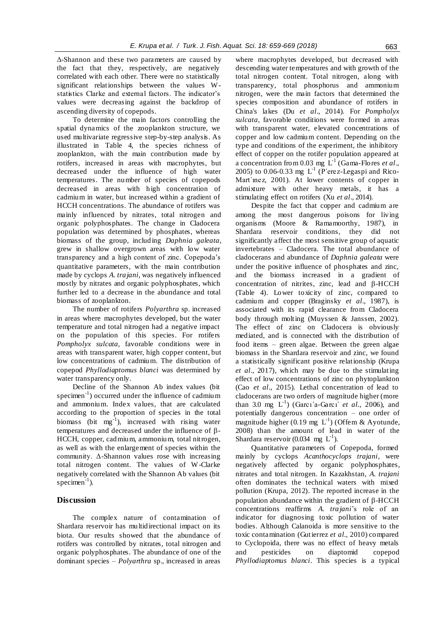Δ-Shannon and these two parameters are caused by the fact that they, respectively, are negatively correlated with each other. There were no statistically significant relationships between the values Wstatistics Clarke and external factors. The indicator's values were decreasing against the backdrop of ascending diversity of copepods.

To determine the main factors controlling the spatial dynamics of the zooplankton structure, we used multivariate regressive step-by-step analysis. As illustrated in Table 4, the species richness of zooplankton, with the main contribution made by rotifers, increased in areas with macrophytes, but decreased under the influence of high water temperatures. The number of species of copepods decreased in areas with high concentration of cadmium in water, but increased within a gradient of HCCH concentrations. The abundance of rotifers was mainly influenced by nitrates, total nitrogen and organic polyphosphates. The change in Cladocera population was determined by phosphates, whereas biomass of the group, including *Daphnia galeata*, grew in shallow overgrown areas with low water transparency and a high content of zinc. Copepoda's quantitative parameters, with the main contribution made by cyclops *A. trajani*, was negatively influenced mostly by nitrates and organic polyphosphates, which further led to a decrease in the abundance and total biomass of zooplankton.

The number of rotifers *Polyarthra* sp. increased in areas where macrophytes developed, but the water temperature and total nitrogen had a negative impact on the population of this species. For rotifers *Pompholyx sulcata,* favorable conditions were in areas with transparent water, high copper content, but low concentrations of cadmium. The distribution of copepod *Phyllodiaptomus blanci* was determined by water transparency only.

Decline of the Shannon Ab index values (bit specimen $^{-1}$ ) occurred under the influence of cadmium and ammonium. Index values, that are calculated according to the proportion of species in the total biomass (bit  $mg^{-1}$ ), increased with rising water temperatures and decreased under the influence of  $\beta$ -HCCH, copper, cadmium, ammonium, total nitrogen, as well as with the enlargement of species within the community. Δ-Shannon values rose with increasing total nitrogen content. The values of W-Clarke negatively correlated with the Shannon Ab values (bit specimen $^{-1}$ ).

## **Discussion**

The complex nature of contamination of Shardara reservoir has multidirectional impact on its biota. Our results showed that the abundance of rotifers was controlled by nitrates, total nitrogen and organic polyphosphates. The abundance of one of the dominant species – *Polyarthra* sp., increased in areas

where macrophytes developed, but decreased with descending water temperatures and with growth of the total nitrogen content. Total nitrogen, along with transparency, total phosphorus and ammonium nitrogen, were the main factors that determined the species composition and abundance of rotifers in China's lakes (Du *et al*., 2014). For *Pompholyx sulcata*, favorable conditions were formed in areas with transparent water, elevated concentrations of copper and low cadmium content. Depending on the type and conditions of the experiment, the inhibitory effect of copper on the rotifer population appeared at a concentration from  $0.03 \text{ mg } L^{-1}$  (Gama-Flores *et al.*, 2005) to 0.06-0.33 mg  $L^{-1}$  (P'erez-Legaspi and Rico-Mart'inez, 2001). At lower contents of copper in admixture with other heavy metals, it has a stimulating effect on rotifers (Xu *et al*., 2014).

Despite the fact that copper and cadmium are among the most dangerous poisons for living organisms (Moore & Ramamoorthy, 1987), in Shardara reservoir conditions, they did not significantly affect the most sensitive group of aquatic invertebrates – Cladocera. The total abundance of cladocerans and abundance of *Daphnia galeata* were under the positive influence of phosphates and zinc, and the biomass increased in a gradient of concentration of nitrites, zinc, lead and  $\beta$ -HCCH (Table 4). Lower toxicity of zinc, compared to cadmium and copper (Braginsky *et al*., 1987), is associated with its rapid clearance from Cladocera body through molting (Muyssen & Janssen, 2002). The effect of zinc on Cladocera is obviously mediated, and is connected with the distribution of food items – green algae. Between the green algae biomass in the Shardara reservoir and zinc, we found a statistically significant positive relationship (Krupa *et al.*, 2017), which may be due to the stimulating effect of low concentrations of zinc on phytoplankton (Cao *et al*., 2015). Lethal concentration of lead to cladocerans are two orders of magnitude higher (more than 3.0 mg  $L^{-1}$ ) (Garcı'a-Garcı' *et al.*, 2006), and potentially dangerous concentration – one order of magnitude higher (0.19 mg  $L^{-1}$ ) (Offem & Ayotunde, 2008) than the amount of lead in water of the Shardara reservoir (0.034 mg  $L^{-1}$ ).

Quantitative parameters of Copepoda, formed mainly by cyclops *Acanthocyclops trajani*, were negatively affected by organic polyphosphates, nitrates and total nitrogen. In Kazakhstan, *A. trajani* often dominates the technical waters with mixed pollution (Krupa, 2012). The reported increase in the population abundance within the gradient of  $\beta$ -HCCH concentrations reaffirms *A. trajani*'s role of an indicator for diagnosing toxic pollution of water bodies. Although Calanoida is more sensitive to the toxic contamination (Gutierrez *et al.,* 2010) compared to Cyclopoida, there was no effect of heavy metals and pesticides on diaptomid copepod *Phyllodiaptomus blanci*. This species is a typical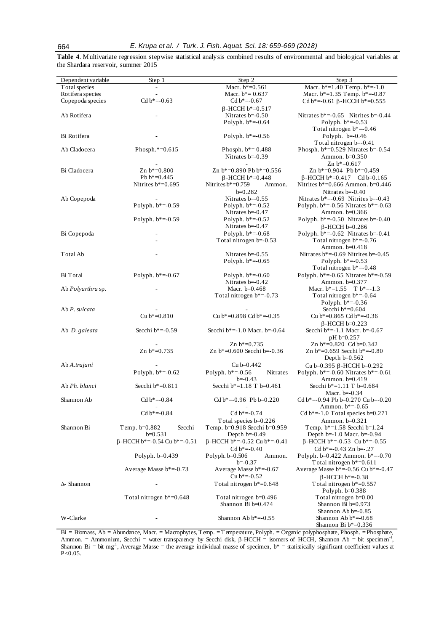**Table 4**. Multivariate regression stepwise statistical analysis combined results of environmental and biological variables at the Shardara reservoir, summer 2015

| Dependent variable | Step 1                                                   | Step 2                                | Step 3                                                       |
|--------------------|----------------------------------------------------------|---------------------------------------|--------------------------------------------------------------|
| Total species      |                                                          | Macr. $b^* = 0.561$                   | Macr. $b^* = 1.40$ Temp. $b^* = -1.0$                        |
| Rotifera species   |                                                          | Macr. $b^* = 0.637$                   | Macr. $b* = 1.35$ Temp. $b* = -0.87$                         |
| Copepoda species   | Cd $b^* = 0.63$                                          | $Cd b* = 0.67$                        | Cd b*=-0.61 $\beta$ -HCCH b*=0.555                           |
|                    |                                                          |                                       |                                                              |
|                    |                                                          | $β$ -HCCH b <sup>*</sup> =0.517       |                                                              |
| Ab Rotifera        |                                                          | Nitrates $b=-0.50$                    | Nitrates $b^* = -0.65$ Nitrites $b = -0.44$                  |
|                    |                                                          | Polyph. $b^* = 0.64$                  | Polyph. $b^* = 0.53$                                         |
|                    |                                                          |                                       | Total nitrogen $b^* = 0.46$                                  |
| Bi Rotifera        |                                                          | Polyph. $b^* = 0.56$                  | Polyph. $b=0.46$                                             |
|                    |                                                          |                                       |                                                              |
|                    |                                                          |                                       | Total nitrogen b=-0.41                                       |
| Ab Cladocera       | Phosph.*= $0.615$                                        | Phosph. $b^* = 0.488$                 | Phosph. $b^*=0.529$ Nitrates $b=-0.54$                       |
|                    |                                                          | Nitrates $b=-0.39$                    | Ammon. $b=0.350$                                             |
|                    |                                                          |                                       | $Zn b* = 0.617$                                              |
| Bi Cladocera       | $Zn b*=0.800$                                            | Zn b*=0.890 Pb b*=0.556               | Zn $b^*=0.904$ Pb $b^*=0.459$                                |
|                    | Pb $b* = 0.445$                                          |                                       |                                                              |
|                    |                                                          | $\beta$ -HCCH b*=0.448                | $\beta$ -HCCH b*=0.417 Cd b=0.165                            |
|                    | Nitrites $b^* = 0.695$                                   | Nitrites b*=0.759<br>Ammon.           | Nitrites $b^* = 0.666$ Ammon. $b = 0.446$                    |
|                    |                                                          | $b=0.282$                             | Nitrates $b=-0.40$                                           |
| Ab Copepoda        |                                                          | Nitrates $b = -0.55$                  | Nitrates b*=-0.69 Nitrites b=-0.43                           |
|                    | Polyph. b*=-0.59                                         | Polyph. $b^* = 0.52$                  | Polyph. $b^* = -0.56$ Nitrates $b^* = -0.63$                 |
|                    |                                                          |                                       |                                                              |
|                    |                                                          | Nitrates b=-0.47                      | Ammon. b=0.366                                               |
|                    | Polyph. b*=-0.59                                         | Polyph. $b^* = 0.52$                  | Polyph. $b^* = -0.50$ Nitrates $b = -0.40$                   |
|                    |                                                          | Nitrates $b = -0.47$                  | $\beta$ -HCCH b=0.286                                        |
| Bi Copepoda        |                                                          | Polyph. $b^* = 0.68$                  | Polyph. $b^* = -0.62$ Nitrates $b = -0.41$                   |
|                    |                                                          | Total nitrogen $b = -0.53$            | Total nitrogen $b^* = 0.76$                                  |
|                    |                                                          |                                       | Ammon. b=0.418                                               |
|                    |                                                          |                                       |                                                              |
| Total Ab           |                                                          | Nitrates $b = -0.55$                  | Nitrates $b^* = 0.69$ Nitrites $b = 0.45$                    |
|                    |                                                          | Polyph. $b^* = 0.65$                  | Polyph. $b^* = 0.53$                                         |
|                    |                                                          |                                       | Total nitrogen $b^* = 0.48$                                  |
| Bi Total           | Polyph. $b^* = 0.67$                                     | Polyph. $b^* = 0.60$                  | Polyph. $b^* = -0.65$ Nitrates $b^* = -0.59$                 |
|                    |                                                          | Nitrates $b = -0.42$                  | Ammon. $b=0.377$                                             |
| Ab Polyarthra sp.  |                                                          | Macr. $b=0.468$                       | Macr. $b^*=1.55$ T $b^*=-1.3$                                |
|                    |                                                          |                                       |                                                              |
|                    |                                                          | Total nitrogen $b^* = 0.73$           | Total nitrogen $b^* = 0.64$                                  |
|                    |                                                          |                                       | Polyph. $b^* = 0.36$                                         |
| Ab P. sulcata      |                                                          |                                       | Secchi $b^* = 0.604$                                         |
|                    | Cu $b* = 0.810$                                          | Cu b*=0.898 Cd b*=-0.35               | Cu b*= $0.865$ Cd b*= $-0.36$                                |
|                    |                                                          |                                       | $\beta$ -HCCH b=0.223                                        |
|                    | Secchi $b^* = 0.59$                                      | Secchi $b^* = -1.0$ Macr. $b = -0.64$ |                                                              |
| Ab D. galeata      |                                                          |                                       | Secchi $b^* = -1.1$ Macr. $b = -0.67$                        |
|                    |                                                          |                                       | $pH b=0.257$                                                 |
|                    |                                                          | Zn $b* = 0.735$                       | Zn $b* = 0.820$ Cd $b=0.342$                                 |
|                    | Zn $b* = 0.735$                                          | Zn $b^*$ =0.600 Secchi b=-0.36        | Zn b*=0.659 Secchi b*=-0.80                                  |
|                    |                                                          |                                       | Depth $b=0.562$                                              |
| Ab A.trajani       |                                                          | Cu $b=0.442$                          |                                                              |
|                    |                                                          |                                       | Cu b=0.395 β-HCCH b=0.292                                    |
|                    | Polyph. $b^* = 0.62$                                     | Polyph. $b^* = 0.56$<br>Nitrates      | Polyph. $b^* = 0.60$ Nitrates $b^* = 0.61$                   |
|                    |                                                          | $b=-0.43$                             | Ammon. $b=0.419$                                             |
| Ab Ph. blanci      | Secchi $b^* = 0.811$                                     | Secchi b*=1.18 T b=0.461              | Secchi $b* = 1.11$ T $b=0.684$                               |
|                    |                                                          |                                       | Macr. $b = -0.34$                                            |
| Shannon Ab         | $Cd b* = 0.84$                                           | Cd $b* = -0.96$ Pb $b=0.220$          | Cd $b^* = -0.94$ Pb $b = 0.270$ Cu $b = -0.20$               |
|                    |                                                          |                                       | Ammon. $b^* = 0.65$                                          |
|                    | $Cd b* = 0.84$                                           | $Cd b* = 0.74$                        | Cd $b^*$ =-1.0 Total species $b=0.271$                       |
|                    |                                                          |                                       |                                                              |
|                    |                                                          | Total species $b=0.226$               | Ammon. b=0.321                                               |
| Shannon Bi         | Secchi<br>Temp. $b=0.882$                                | Temp. $b=0.918$ Secchi $b=0.959$      | Temp. $b^* = 1.58$ Secchi $b = 1.24$                         |
|                    | $b=0.531$                                                | Depth $b=-0.49$                       | Depth $b=1.0$ Macr. $b=0.94$                                 |
|                    | $β$ -HCCH b <sup>*</sup> =-0.54 Cu b <sup>*</sup> =-0.51 | $\beta$ -HCCH b*=-0.52 Cu b*=-0.41    | $\beta$ -HCCH b <sup>*</sup> =-0.53 Cu b <sup>*</sup> =-0.55 |
|                    |                                                          | $Cd b* = 0.40$                        | Cd $b^* = -0.43$ Zn $b = -0.27$                              |
|                    |                                                          |                                       |                                                              |
|                    | Polyph. $b=0.439$                                        | Polyph. $b=0.506$<br>Ammon.           | Polyph. $b=0.422$ Ammon. $b^*=-0.70$                         |
|                    |                                                          | $b=-0.37$                             | Total nitrogen $b^* = 0.611$                                 |
|                    | Average Masse $b^* = 0.73$                               | Average Masse $b^* = 0.67$            | Average Masse $b^* = -0.56$ Cu $b^* = -0.47$                 |
|                    |                                                          | $Cu b* = 0.52$                        | $β$ -HCCH $b* = 0.38$                                        |
| $\Delta$ - Shannon |                                                          | Total nitrogen $b^* = 0.648$          | Total nitrogen $b^* = 0.557$                                 |
|                    |                                                          |                                       | Polyph. $b=0.388$                                            |
|                    |                                                          |                                       |                                                              |
|                    | Total nitrogen $b^* = 0.648$                             | Total nitrogen b=0.496                | Total nitrogen b=0.00                                        |
|                    |                                                          | Shannon Bi b=0.474                    | Shannon Bi b=0.973                                           |
|                    |                                                          |                                       | Shannon Ab $b=-0.85$                                         |
| W-Clarke           |                                                          | Shannon Ab $b^* = -0.55$              | Shannon Ab $b^* = 0.68$                                      |
|                    |                                                          |                                       | Shannon Bi $b^*=0.336$                                       |

Bi = Biomass, Ab = Abundance, Macr. = Macrophytes, Temp. = Temperature, Polyph. = Organic polyphosphate, Phosph. = Phosphate, Ammon. = Ammonium, Secchi = water transparency by Secchi disk,  $\beta$ -HCCH = isomers of HCCH, Shannon Ab = bit specimen<sup>-1</sup>, Shannon Bi = bit mg<sup>-1</sup>, Average Masse = the average individual masse of specimen,  $b^* =$  statistically significant coefficient values at P<0.05.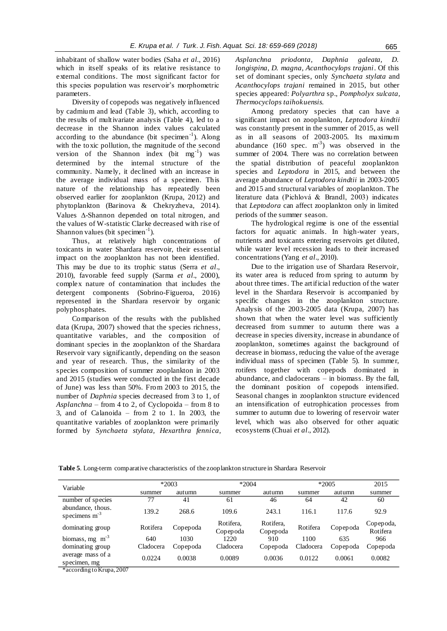inhabitant of shallow water bodies (Saha *et al.*, 2016) which in itself speaks of its relative resistance to external conditions. The most significant factor for this species population was reservoir's morphometric parameters.

Diversity of copepods was negatively influenced by cadmium and lead (Table 3), which, according to the results of multivariate analysis (Table 4), led to a decrease in the Shannon index values calculated according to the abundance (bit specimen $^{-1}$ ). Along with the toxic pollution, the magnitude of the second version of the Shannon index (bit  $mg^{-1}$ ) was determined by the internal structure of the community. Namely, it declined with an increase in the average individual mass of a specimen. This nature of the relationship has repeatedly been observed earlier for zooplankton (Krupa, 2012) and phytoplankton (Barinova & Chekryzheva, 2014). Values  $\Delta$ -Shannon depended on total nitrogen, and the values of W-statistic Clarke decreased with rise of Shannon values (bit specimen $^{-1}$ ).

Thus, at relatively high concentrations of toxicants in water Shardara reservoir, their essential impact on the zooplankton has not been identified. This may be due to its trophic status (Serra *et al*., 2010), favorable feed supply (Sarma *et al*., 2000), complex nature of contamination that includes the detergent components (Sobrino-Figueroa, 2016) represented in the Shardara reservoir by organic polyphosphates.

Comparison of the results with the published data (Krupa, 2007) showed that the species richness, quantitative variables, and the composition of dominant species in the zooplankton of the Shardara Reservoir vary significantly, depending on the season and year of research. Thus, the similarity of the species composition of summer zooplankton in 2003 and 2015 (studies were conducted in the first decade of June) was less than 50%. From 2003 to 2015, the number of *Daphnia* species decreased from 3 to 1, of *Asplanchna* – from 4 to 2, of Cyclopoida – from 8 to 3, and of Calanoida – from 2 to 1. In 2003, the quantitative variables of zooplankton were primarily formed by *Synchaeta stylata, Hexarthra fennica,*  *Asplanchna priodonta, Daphnia galeata, D. longispina, D. magna, Acanthocylops trajani*. Of this set of dominant species, only *Synchaeta stylata* and *Acanthocylops trajani* remained in 2015, but other species appeared: *Polyarthra* sp., *Pompholyx sulcata, Thermocyclops taihokuensis.*

Among predatory species that can have a significant impact on zooplankton, *Leptodora kindtii* was constantly present in the summer of 2015, as well as in all seasons of 2003-2005. Its maximum abundance  $(160 \text{ spec. m}^3)$  was observed in the summer of 2004. There was no correlation between the spatial distribution of peaceful zooplankton species and *Leptodora* in 2015, and between the average abundance of *Leptodora kindtii* in 2003-2005 and 2015 and structural variables of zooplankton. The literature data (Pichlová & Brandl, 2003) indicates that *Leptodora* can affect zooplankton only in limited periods of the summer season.

The hydrological regime is one of the essential factors for aquatic animals. In high-water years, nutrients and toxicants entering reservoirs get diluted, while water level recession leads to their increased concentrations (Yang *et al*., 2010).

Due to the irrigation use of Shardara Reservoir, its water area is reduced from spring to autumn by about three times. The artificial reduction of the water level in the Shardara Reservoir is accompanied by specific changes in the zooplankton structure. Analysis of the 2003-2005 data (Krupa, 2007) has shown that when the water level was sufficiently decreased from summer to autumn there was a decrease in species diversity, increase in abundance of zooplankton, sometimes against the background of decrease in biomass, reducing the value of the average individual mass of specimen (Table 5). In summer, rotifers together with copepods dominated in abundance, and cladocerans – in biomass. By the fall, the dominant position of copepods intensified. Seasonal changes in zooplankton structure evidenced an intensification of eutrophication processes from summer to autumn due to lowering of reservoir water level, which was also observed for other aquatic ecosystems (Chuai *et al*., 2012).

|  | Table 5. Long-term comparative characteristics of the zooplankton structure in Shardara Reservoir |  |
|--|---------------------------------------------------------------------------------------------------|--|
|  |                                                                                                   |  |

| *2003     |          | *2004                 |                       | *2005     |          | 2015                  |
|-----------|----------|-----------------------|-----------------------|-----------|----------|-----------------------|
| summer    | autumn   | summer                | autumn                | summer    | autumn   | summer                |
| 77        | 41       | 61                    | 46                    | 64        | 42       | 60                    |
| 139.2     | 268.6    | 109.6                 | 243.1                 | 116.1     | 117.6    | 92.9                  |
| Rotifera  | Copepoda | Rotifera.<br>Copepoda | Rotifera.<br>Copepoda | Rotifera  | Copepoda | Copepoda,<br>Rotifera |
| 640       | 1030     | 1220                  | 910                   | 1100      | 635      | 966                   |
| Cladocera | Copepoda | Cladocera             | Copepoda              | Cladocera | Copepoda | Copepoda              |
| 0.0224    | 0.0038   | 0.0089                | 0.0036                | 0.0122    | 0.0061   | 0.0082                |
|           |          |                       |                       |           |          |                       |

\*according to Krupa, 2007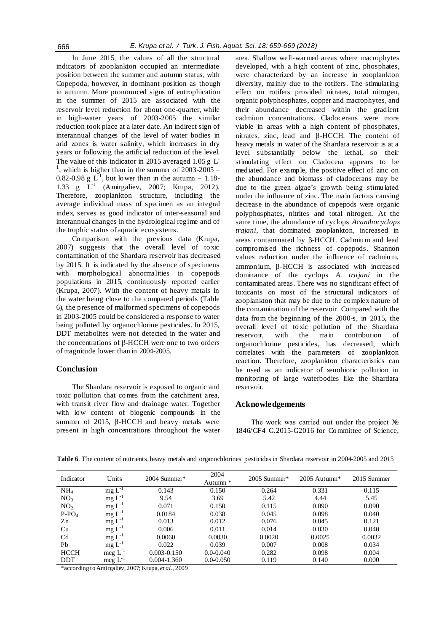In June 2015, the values of all the structural indicators of zooplankton occupied an intermediate position between the summer and autumn status, with Copepoda, however, in dominant position as though in autumn. More pronounced signs of eutrophication in the summer of 2015 are associated with the reservoir level reduction for about one-quarter, while in high-water years of 2003-2005 the similar reduction took place at a later date. An indirect sign of interannual changes of the level of water bodies in arid zones is water salinity, which increases in dry years or following the artificial reduction of the level. The value of this indicator in 2015 averaged 1.05 g  $\Gamma$ <sup>1</sup>, which is higher than in the summer of  $2003-2005$  – 0.82-0.98 g  $\mathbf{L}^{-1}$ , but lower than in the autumn - 1.18-1.33 g  $L^{-1}$  (Amirgaliev, 2007; Krupa, 2012). Therefore, zooplankton structure, including the average individual mass of specimen as an integral index, serves as good indicator of inter-seasonal and interannual changes in the hydrological regime and of the trophic status of aquatic ecosystems.

Comparison with the previous data (Krupa, 2007) suggests that the overall level of toxic contamination of the Shardara reservoir has decreased by 2015. It is indicated by the absence of specimens with morphological abnormalities in copepods populations in 2015, continuously reported earlier (Krupa, 2007). With the content of heavy metals in the water being close to the compared periods (Table 6), the presence of malformed specimens of copepods in 2003-2005 could be considered a response to water being polluted by organochlorine pesticides. In 2015, DDT metabolites were not detected in the water and the concentrations of  $\beta$ -HCCH were one to two orders of magnitude lower than in 2004-2005.

## **Conclusion**

The Shardara reservoir is exposed to organic and toxic pollution that comes from the catchment area, with transit river flow and drainage water. Together with low content of biogenic compounds in the summer of 2015,  $\beta$ -HCCH and heavy metals were present in high concentrations throughout the water

area. Shallow well-warmed areas where macrophytes developed, with a high content of zinc, phosphates, were characterized by an increase in zooplankton diversity, mainly due to the rotifers. The stimulating effect on rotifers provided nitrates, total nitrogen, organic polyphosphates, copper and macrophytes, and their abundance decreased within the gradient cadmium concentrations. Cladocerans were more viable in areas with a high content of phosphates, nitrates, zinc, lead and  $\beta$ -HCCH. The content of heavy metals in water of the Shardara reservoir is at a level substantially below the lethal, so their stimulating effect on Cladocera appears to be mediated. For example, the positive effect of zinc on the abundance and biomass of cladocerans may be due to the green algae's growth being stimulated under the influence of zinc. The main factors causing decrease in the abundance of copepods were organic polyphosphates, nitrites and total nitrogen. At the same time, the abundance of cyclops *Acanthocyclops trajani,* that dominated zooplankton, increased in areas contaminated by  $\beta$ -HCCH. Cadmium and lead compromised the richness of copepods. Shannon values reduction under the influence of cadmium,  $ammonium$ ,  $\beta$ -HCCH is associated with increased dominance of the cyclops *A. trajani* in the contaminated areas. There was no significant effect of toxicants on most of the structural indicators of zooplankton that may be due to the complex nature of the contamination of the reservoir. Compared with the data from the beginning of the 2000-s, in 2015, the overall level of toxic pollution of the Shardara reservoir, with the main contribution of organochlorine pesticides, has decreased, which correlates with the parameters of zooplankton reaction. Therefore, zooplankton characteristics can be used as an indicator of xenobiotic pollution in monitoring of large waterbodies like the Shardara reservoir.

# **Acknowledgements**

The work was carried out under the project № 1846/GF4 G.2015-G2016 for Committee of Science,

| Indicator       | Units                 | $2004$ Summer*  | 2004<br>Autumn $*$ | $2005$ Summer* | $2005$ Autumn <sup>*</sup> | 2015 Summer |
|-----------------|-----------------------|-----------------|--------------------|----------------|----------------------------|-------------|
| NH <sub>4</sub> | $mg L^{-1}$           | 0.143           | 0.150              | 0.264          | 0.331                      | 0.115       |
| NO <sub>3</sub> | $mg L^{-1}$           | 9.54            | 3.69               | 5.42           | 4.44                       | 5.45        |
| NO <sub>2</sub> | $mg L^{-1}$           | 0.071           | 0.150              | 0.115          | 0.090                      | 0.090       |
| $P-PO4$         | $mg L^{-1}$           | 0.0184          | 0.038              | 0.045          | 0.098                      | 0.040       |
| Zn              | $mg L^{-1}$           | 0.013           | 0.012              | 0.076          | 0.045                      | 0.121       |
| Cu              | $mg L^{-1}$           | 0.006           | 0.011              | 0.014          | 0.030                      | 0.040       |
| C <sub>d</sub>  | $mg L^{-1}$           | 0.0060          | 0.0030             | 0.0020         | 0.0025                     | 0.0032      |
| Pb              | $mg L^{-1}$           | 0.022           | 0.039              | 0.007          | 0.008                      | 0.034       |
| <b>HCCH</b>     | $\text{mcg}$ $L^{-1}$ | $0.003 - 0.150$ | $0.0 - 0.040$      | 0.282          | 0.098                      | 0.004       |
| <b>DDT</b>      | $\text{mcg}$ $L^{-1}$ | $0.004 - 1.360$ | $0.0 - 0.050$      | 0.119          | 0.140                      | 0.000       |

**Table 6**. The content of nutrients, heavy metals and organochlorines pesticides in Shardara reservoir in 2004-2005 and 2015

\*according to Amirgaliev, 2007; Krupa, *et al*., 2009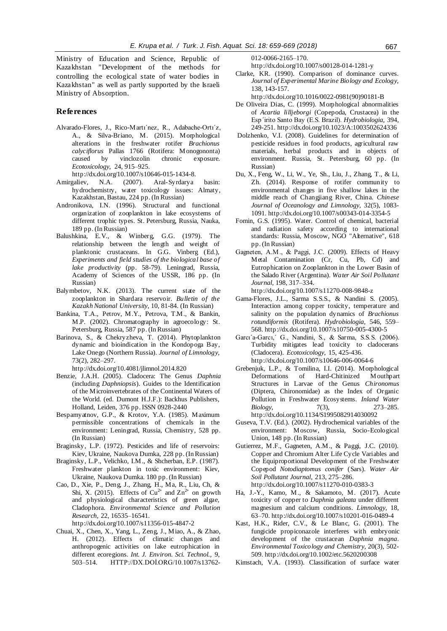Ministry of Education and Science, Republic of Kazakhstan "Development of the methods for controlling the ecological state of water bodies in Kazakhstan" as well as partly supported by the Israeli Ministry of Absorption.

## **References**

Alvarado-Flores, J., Rico-Martı´nez, R., Adabache-Ortı´z, A., & Silva-Briano, M. (2015). Morphological alterations in the freshwater rotifer *Brachionus calyciflorus* Pallas 1766 (Rotifera: Monogononta) by vinclozolin chronic exposure. *Ecotoxicology,* 24, 915–925.

http://dx.doi.org/10.1007/s10646-015-1434-8.

- Amirgaliev, N.A. (2007). Aral-Syrdarya basin: hydrochemistry, water toxicology issues: Almaty, Kazakhstan, Bastau, 224 pp. (In Russian)
- Andronikova, I.N. (1996). Structural and functional organization of zooplankton in lake ecosystems of different trophic types. St. Petersburg, Russia, Nauka, 189 pp. (In Russian)
- Balushkina, E.V., & Winberg, G.G. (1979). The relationship between the length and weight of planktonic crustaceans. In G.G. Vinberg (Ed.), *Experiments and field studies of the biological base of lake productivity* (pp. 58-79). Leningrad, Russia, Academy of Sciences of the USSR, 186 pp. (In Russian)
- Balymbetov, N.K. (2013). The current state of the zooplankton in Shardara reservoir. *Bulletin of the Kazakh National University*, 10, 81-84. (In Russian)
- Bankina, T.A., Petrov, M.Y., Petrova, T.M., & Bankin, M.P. (2002). Chromatography in agroecology: St. Petersburg, Russia, 587 pp. (In Russian)
- Barinova, S., & Chekryzheva, T. (2014). Phytoplankton dynamic and bioindication in the Kondopoga Bay, Lake Onego (Northern Russia). *Journal of Limnology,* 73(2), 282–297.

http://dx.doi.org/10.4081/jlimnol.2014.820

- Benzie, J.A.H. (2005). Cladocera: The Genus *Daphnia* (including *Daphniopsis*). Guides to the Identification of the Microinvertebrates of the Continental Waters of the World. (ed. Dumont H.J.F.): Backhus Publishers, Holland, Leiden, 376 pp. ISSN 0928-2440
- Bespamyatnov, G.P., & Krotov, Y.A. (1985). Maximum permissible concentrations of chemicals in the environment: Leningrad, Russia, Chemistry, 528 pp. (In Russian)
- Braginsky, L.P. (1972). Pesticides and life of reservoirs: Kiev, Ukraine, Naukova Dumka, 228 pp. (In Russian)
- Braginsky, L.P., Velichko, I.M., & Shcherban, E.P. (1987). Freshwater plankton in toxic environment: Kiev, Ukraine, Naukova Dumka. 180 pp. (In Russian)
- Cao, D., Xie, P., Deng, J., Zhang, H., Ma, R., Liu, Ch, & Shi, X. (2015). Effects of  $Cu^{2+}$  and  $Zn^{2+}$  on growth and physiological characteristics of green algae, Cladophora. *Environmental Science and Pollution Research,* 22, 16535–16541.

http://dx.doi.org/10.1007/s11356-015-4847-2

Chuai, X., Chen, X., Yang, L., Zeng, J., Miao, A., & Zhao, H. (2012). Effects of climatic changes and anthropogenic activities on lake eutrophication in different ecoregions. *Int. J. Environ. Sci. Technol.,* 9, 503–514. HTTP://DX.DOİ.ORG/10.1007/s13762012-0066-2165–170.

http://dx.doi.org/10.1007/s00128-014-1281-y

Clarke, KR. (1990). Comparison of dominance curves. *Journal of Experimental Marine Biology and Ecology,*  138, 143-157.

http://dx.doi.org/10.1016/0022-0981(90)90181-B

- De Oliveira Dias, C. (1999). Morphological abnormalities of *Acartia lilljeborgi* (Copepoda, Crustacea) in the Esp´irito Santo Bay (E.S. Brazil). *Hydrobiologia,* 394, 249-251. http://dx.doi.org/10.1023/A:1003502624336
- Dolzhenko, V.I. (2008). Guidelines for determination of pesticide residues in food products, agricultural raw materials, herbal products and in objects of environment. Russia, St. Petersburg, 60 pp. (In Russian)
- Du, X., Feng, W., Li, W., Ye, Sh., Liu, J., Zhang, T., & Li, Zh. (2014). Response of rotifer community to environmental changes in five shallow lakes in the middle reach of Changjiang River, China. *Chinese Journal of Oceanology and Limnology,* 32(5), 1083- 1091. http://dx.doi.org/10.1007/s00343-014-3354-5
- Fomin, G.S. (1995). Water. Control of chemical, bacterial and radiation safety according to international standards: Russia, Moscow, NGO "Alternative", 618 pp. (In Russian)
- Gagneten, А.M., & Paggi, J.C. (2009). Effects of Heavy Metal Contamination (Cr, Cu, Pb, Cd) and Eutrophication on Zooplankton in the Lower Basin of the Salado River (Argentina). *Water Air Soil Pollutant Journal,* 198, 317–334.

http://dx.doi.org/10.1007/s11270-008-9848-z

- Gama-Flores, J.L., Sarma S.S.S., & Nandini S. (2005). Interaction among copper toxicity, temperature and salinity on the population dynamics of *Brachionus rotundiformis* (Rotifera). *Hydrobiologia*, 546, 559– 568. http://dx.doi.org/10.1007/s10750-005-4300-5
- Garcı´a-Garcı,´ G., Nandini, S., & Sarma, S.S.S. (2006). Turbidity mitigates lead toxicity to cladocerans (Cladocera). *Ecotoxicology,* 15, 425-436. http://dx.doi.org/10.1007/s10646-006-0064-6
- Grebenjuk, L.P., & Tomilina, I.I. (2014). Morphological Deformations of Hard-Chitinized Mouthpart Structures in Larvae of the Genus *Chironomus* (Diptera, Chironomidae) as the Index of Organic Pollution in Freshwater Ecosystems. *Inland Water Biology*, 7(3), 273–285. http://dx.doi.org/10.1134/S1995082914030092
- Guseva, T.V. (Ed.). (2002). Hydrochemical variables of the environment: Moscow, Russia, Socio-Ecological Union, 148 pp. (In Russian)
- Gutierrez, M.F., Gagneten, A.M., & Paggi, J.C. (2010). Copper and Chromium Alter Life Cycle Variables and the Equiproportional Development of the Freshwater Copepod *Notodiaptomus conifer* (Sars). *Water Air Soil Pollutant Journal,* 213, 275–286. http://dx.doi.org/10.1007/s11270-010-0383-3
- Ha, J.-Y., Kamo, M., & Sakamoto, M. (2017). Acute toxicity of copper to *Daphnia galeata* under different magnesium and calcium conditions. *Limnology*, 18, 63–70. http://dx.doi.org/10.1007/s10201-016-0489-4
- Kast, H.K., Rider, C.V., & Le Blanc, G. (2001). The fungicide propiconazole interferes with embryonic development of the crustacean *Daphnia magna*. *Environmental Toxicology and Chemistry,* 20(3), 502- 509. http://dx.doi.org/10.1002/etc.5620200308
- Kimstach, V.A. (1993). Classification of surface water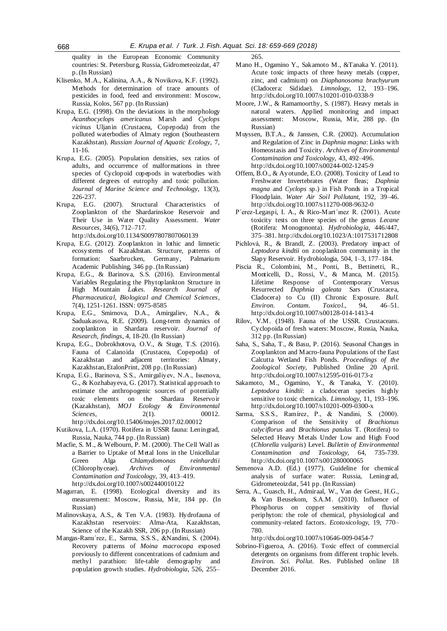quality in the European Economic Community countries: St. Petersburg, Russia, Gidrometeoizdat, 47 p. (In Russian)

- Klisenko, M.A., Kalinina, A.A., & Novikova, K.F. (1992). Methods for determination of trace amounts of pesticides in food, feed and environment: Moscow, Russia, Kolos, 567 pp. (In Russian)
- Krupa, E.G. (1998). On the deviations in the morphology *Acanthocyclops americanus* Marsh and *Cyclops vicinus* Uljanin (Crustacea, Copepoda) from the polluted waterbodies of Almaty region (Southeastern Kazakhstan). *Russian Journal of Aquatic Ecology*, 7, 11-16.
- Krupa, E.G. (2005). Population densities, sex ratios of adults, and occurrence of malformations in three species of Cyclopoid copepods in waterbodies with different degrees of eutrophy and toxic pollution. *Journal of Marine Science and Technology*, 13(3), 226-237.
- Krupa, E.G. (2007). Structural Characteristics of Zooplankton of the Shardarinskoe Reservoir and Their Use in Water Quality Assessment. *Water Resources*, 34(6), 712–717.

http://dx.doi.org/10.1134/S0097807807060139

- Krupa, E.G. (2012). Zooplankton in lothic and limnetic ecosystems of Kazakhstan. Structure, patterns of formation: Saarbrucken, Germany, Palmarium Academic Publishing, 346 pp. (In Russian)
- Krupa, E.G., & Barinova, S.S. (2016). Environmental Variables Regulating the Phytoplankton Structure in High Mountain *Lakes. Research Journal of Pharmaceutical, Biological and Chemical Sciences*, 7(4), 1251-1261. ISSN: 0975-8585
- Krupa, E.G., Smirnova, D.A., Amirgaliev, N.A., & Saduakasova, R.E. (2009). Long-term dynamics of zooplankton in Shardara reservoir. *Journal of Research, findings*, 4, 18-20. (In Russian)
- Krupa, E.G., Dobrokhotova, O.V., & Stuge, T.S. (2016). Fauna of Calanoida (Crustacea, Copepoda) of Kazakhstan and adjacent territories: Almaty, Kazakhstan, EtalonPrint, 208 pp. (In Russian)
- Krupa, E.G., Barinova, S.S., Amirgaliyev, N.А., Issenova, G., & Kozhabayeva, G. (2017). Statistical approach to estimate the anthropogenic sources of potentially toxic elements on the Shardara Reservoir (Kazakhstan), *MOJ Ecology & Environmental Sciences,* 2(1). 00012. http://dx.doi.org/10.15406/mojes.2017.02.00012
- Kutikova, L.A. (1970). Rotifera in USSR fauna: Leningrad, Russia, Nauka, 744 pp. (In Russian)
- Macfie, S. M., & Welbourn, P. M. (2000). The Cell Wall as a Barrier to Uptake of Metal Ions in the Unicellular Green Alga *Chlamydomonas reinhardtii* (Chlorophyceae). *Archives of Environmental Contamination and Toxicology,* 39, 413–419. http://dx.doi.org/10.1007/s002440010122
- Magurran, E. (1998). Ecological diversity and its measurement: Moscow, Russia, Mir, 184 pp. (In Russian)
- Malinovskaya, A.S., & Ten V.A. (1983). Hydrofauna of Kazakhstan reservoirs: Alma-Ata, Kazakhstan, Science of the Kazakh SSR, 206 pp. (In Russian)
- Mangas-Ramı´rez, E., Sarma, S.S.S., &Nandini, S. (2004). Recovery patterns of *Moina macrocopa* exposed previously to different concentrations of cadmium and methyl parathion: life-table demography and population growth studies. *Hydrobiologia*, 526, 255–

265.

- Mano H., Ogamino Y., Sakamoto M., &Tanaka Y. (2011). Acute toxic impacts of three heavy metals (copper, zinc, and cadmium) on *Diaphanosoma brachyurum* (Cladocera: Sididae). *Limnology*, 12, 193–196. http://dx.doi.org/10.1007/s10201-010-0338-9
- Moore, J.W., & Ramamoorthy, S. (1987). Heavy metals in natural waters. Applied monitoring and impact assessment: Moscow, Russia, Mir, 288 pp. (In Russian)
- Muyssen, B.T.A., & Janssen, C.R. (2002). Accumulation and Regulation of Zinc in *Daphnia magna*: Links with Homeostasis and Toxicity. *Archives of Environmental Contamination and Toxicology,* 43, 492–496. http://dx.doi.org/10.1007/s00244-002-1245-9
- Offem, B.O., & Ayotunde, E.O. (2008). Toxicity of Lead to Freshwater Invertebrates (Water fleas; *Daphnia magna* and *Cyclops* sp.) in Fish Ponds in a Tropical Floodplain. *Water Air Soil Pollutant*, 192, 39–46. http://dx.doi.org/10.1007/s11270-008-9632-0
- P´erez-Legaspi, I. A., & Rico-Mart´ınez R. (2001). Acute toxicity tests on three species of the genus *Lecane* (Rotifera: Monogononta). *Hydrobiologia*, 446/447, 375–381. http://dx.doi.org/10.1023/A:1017531712808
- Pichlová, R., & Brandl, Z. (2003). Predatory impact of *Leptodora kindtii* on zooplankton community in the Slapy Reservoir. Hydrobiologia, 504, 1–3, 177–184.
- Piscia R., Colombini, M., Ponti, B., Bettinetti, R., Monticelli, D., Rossi, V., & Manca, M. (2015). Lifetime Response of Contemporary Versus Resurrected *Daphnia galeata* Sars (Crustacea, Cladocera) to Cu (II) Chronic Exposure. *Bull. Environ. Contam. Toxicol*., 94, 46–51. http://dx.doi.org/10.1007/s00128-014-1413-4
- Rilov, V.M. (1948). Fauna of the USSR. Crustaceans. Cyclopoida of fresh waters: Moscow, Russia, Nauka, 312 pp. (In Russian)
- Saha, S., Saha, T., & Basu, P. (2016). Seasonal Changes in Zooplankton and Macro-fauna Populations of the East Calcutta Wetland Fish Ponds. *Proceedings of the Zoological Society,* Published Online 20 April. http://dx.doi.org/10.1007/s12595-016-0173-z
- Sakamoto, M., Ogamino, Y., & Tanaka, Y. (2010). *Leptodora kindtii*: a cladoceran species highly sensitive to toxic chemicals. *Limnology*, 11, 193–196. http://dx.doi.org/10.1007/s10201-009-0300-x
- Sarma, S.S.S., Ramírez, P., & Nandini, S. (2000). Comparison of the Sensitivity of *Brachionus calyciflorus* and *Brachionus patulus* T. (Rotifera) to Selected Heavy Metals Under Low and High Food (*Chlorella vulgaris*) Level. *Bulletin of Environmental Contamination and Toxicology,* 64, 735-739. http://dx.doi.org/10.1007/s001280000065
- Semenova A.D. (Ed.) (1977). Guideline for chemical analysis of surface water: Russia, Leningrad, Gidrometeoizdat, 541 pp. (In Russian)
- Serra, A., Guasch, H., Admiraal, W., Van der Geest, H.G., & Van Beusekom, S.A.M. (2010). Influence of Phosphorus on copper sensitivity of fluvial periphyton: the role of chemical, physiological and community-related factors. *Ecotoxicology*, 19, 770– 780.
	- http://dx.doi.org/10.1007/s10646-009-0454-7
- Sobrino-Figueroa, A. (2016). Toxic effect of commercial detergents on organisms from different trophic levels. *Environ. Sci. Pollut*. Res. Published online 18 December 2016.